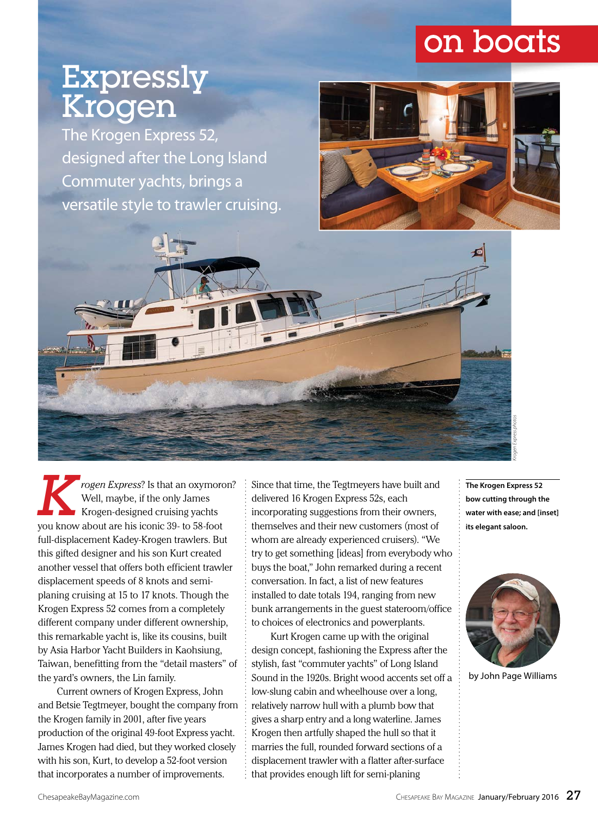# on boats

# Expressly Krogen

The Krogen Express 52, designed after the Long Island Commuter yachts, brings a versatile style to trawler cruising.



*Krogen Express*? Is that an oxymoron? Well, maybe, if the only James Krogen-designed cruising yachts you know about are his iconic 39- to 58-foot full-displacement Kadey-Krogen trawlers. But this gifted designer and his son Kurt created another vessel that offers both efficient trawler displacement speeds of 8 knots and semiplaning cruising at 15 to 17 knots. Though the Krogen Express 52 comes from a completely different company under different ownership, this remarkable yacht is, like its cousins, built by Asia Harbor Yacht Builders in Kaohsiung, Taiwan, benefitting from the "detail masters" of the yard's owners, the Lin family.

Current owners of Krogen Express, John and Betsie Tegtmeyer, bought the company from the Krogen family in 2001, after five years production of the original 49-foot Express yacht. James Krogen had died, but they worked closely with his son, Kurt, to develop a 52-foot version that incorporates a number of improvements.

Since that time, the Tegtmeyers have built and delivered 16 Krogen Express 52s, each incorporating suggestions from their owners, themselves and their new customers (most of whom are already experienced cruisers). "We try to get something [ideas] from everybody who buys the boat," John remarked during a recent conversation. In fact, a list of new features installed to date totals 194, ranging from new bunk arrangements in the guest stateroom/office to choices of electronics and powerplants.

Kurt Krogen came up with the original design concept, fashioning the Express after the stylish, fast "commuter yachts" of Long Island Sound in the 1920s. Bright wood accents set off a low-slung cabin and wheelhouse over a long, relatively narrow hull with a plumb bow that gives a sharp entry and a long waterline. James Krogen then artfully shaped the hull so that it marries the full, rounded forward sections of a displacement trawler with a flatter after-surface that provides enough lift for semi-planing

**The Krogen Express 52 bow cutting through the water with ease; and [inset] its elegant saloon.**

*Krogen Express photos*



by John Page Williams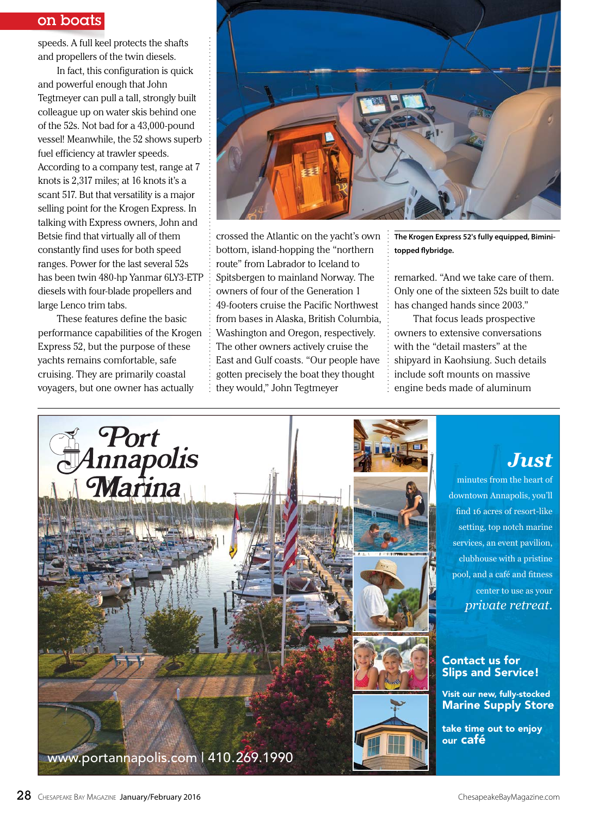### on boats

speeds. A full keel protects the shafts and propellers of the twin diesels.

In fact, this configuration is quick and powerful enough that John Tegtmeyer can pull a tall, strongly built colleague up on water skis behind one of the 52s. Not bad for a 43,000-pound vessel! Meanwhile, the 52 shows superb fuel efficiency at trawler speeds. According to a company test, range at 7 knots is 2,317 miles; at 16 knots it's a scant 517. But that versatility is a major selling point for the Krogen Express. In talking with Express owners, John and Betsie find that virtually all of them constantly find uses for both speed ranges. Power for the last several 52s has been twin 480-hp Yanmar 6LY3-ETP diesels with four-blade propellers and large Lenco trim tabs.

These features define the basic These features define the basic<br>performance capabilities of the Krogen Express 52, but the purpose of these yachts remains comfortable, safe cruising. They are primarily coastal voyagers, but one owner has actually



crossed the Atlantic on the yacht's own bottom, island-hopping the "northern route" from Labrador to Iceland to Spitsbergen to mainland Norway. The owners of four of the Generation 1 49-footers cruise the Pacific Northwest from bases in Alaska, British Columbia, Washington and Oregon, respectively. The other owners actively cruise the East and Gulf coasts. "Our people have gotten precisely the boat they thought they would," John Tegtmeyer

**The Krogen Express 52's fully equipped, Bimini**topped flybridge.

remarked. "And we take care of them. Only one of the sixteen 52s built to date has changed hands since 2003."

That focus leads prospective owners to extensive conversations with the "detail masters" at the shipyard in Kaohsiung. Such details include soft mounts on massive engine beds made of aluminum



## *Just*

minutes from the heart of downtown Annapolis, you'll find 16 acres of resort-like setting, top notch marine services, an event pavilion, clubhouse with a pristine pool, and a café and fitness center to use as your *private retreat*.

#### Contact us for Slips and Service!

Visit our new, fully-stocked Marine Supply Store

take time out to enjoy our café